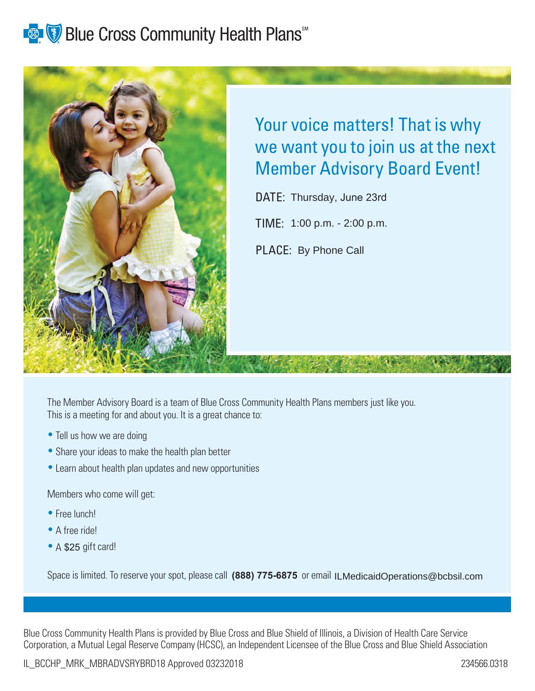# **Blue Cross Community Health Plans** and Realth



## Your voice matters! That is why we want you to join us at the next Member Advisory Board Event!

DATE: Thursday, June 23rd

TIME: 1:00 p.m. - 2:00 p.m.

PLACE: By Phone Call

The Member Advisory Board is a team of Blue Cross Community Health Plans members just like you. This is a meeting for and about you. It is a great chance to:

- Tell us how we are doing
- Share your ideas to make the health plan better
- Learn about health plan updates and new opportunities

Members who come will get:

- Free lunch!
- A free ride!
- A \$25 gift card!

Space is limited. To reserve your spot, please call (888) 775-6875 or email ILMedicaidOperations@bcbsil.com

Blue Cross Community Health Plans is provided by Blue Cross and Blue Shield of Illinois, a Division of Health Care Service Corporation, a Mutual Legal Reserve Company (HCSC), an Independent Licensee of the Blue Cross and Blue Shield Association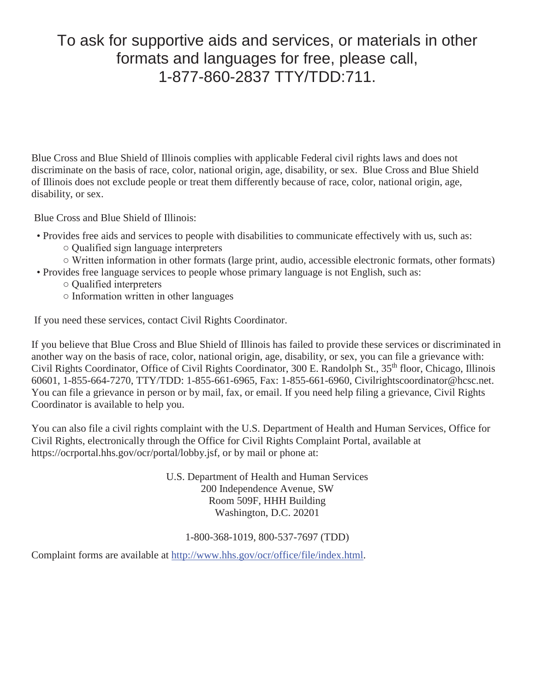### To ask for supportive aids and services, or materials in other formats and languages for free, please call, 1-877-860-2837 TTY/TDD:711.

Blue Cross and Blue Shield of Illinois complies with applicable Federal civil rights laws and does not discriminate on the basis of race, color, national origin, age, disability, or sex. Blue Cross and Blue Shield of Illinois does not exclude people or treat them differently because of race, color, national origin, age, disability, or sex.

Blue Cross and Blue Shield of Illinois:

- Provides free aids and services to people with disabilities to communicate effectively with us, such as:
	- $\circ$  Qualified sign language interpreters
	- $\circ$  Written information in other formats (large print, audio, accessible electronic formats, other formats)
- Provides free language services to people whose primary language is not English, such as:
	- $\circ$  Qualified interpreters
	- $\circ$  Information written in other languages

If you need these services, contact Civil Rights Coordinator.

If you believe that Blue Cross and Blue Shield of Illinois has failed to provide these services or discriminated in another way on the basis of race, color, national origin, age, disability, or sex, you can file a grievance with: Civil Rights Coordinator, Office of Civil Rights Coordinator, 300 E. Randolph St., 35<sup>th</sup> floor, Chicago, Illinois 60601, 1-855-664-7270, TTY/TDD: 1-855-661-6965, Fax: 1-855-661-6960, Civilrightscoordinator@hcsc.net. You can file a grievance in person or by mail, fax, or email. If you need help filing a grievance, Civil Rights Coordinator is available to help you.

You can also file a civil rights complaint with the U.S. Department of Health and Human Services, Office for Civil Rights, electronically through the Office for Civil Rights Complaint Portal, available at https://ocrportal.hhs.gov/ocr/portal/lobby.jsf, or by mail or phone at:

> U.S. Department of Health and Human Services 200 Independence Avenue, SW Room 509F, HHH Building Washington, D.C. 20201

### 1-800-368-1019, 800-537-7697 (TDD)

Complaint forms are available at http://www.hhs.gov/ocr/office/file/index.html.